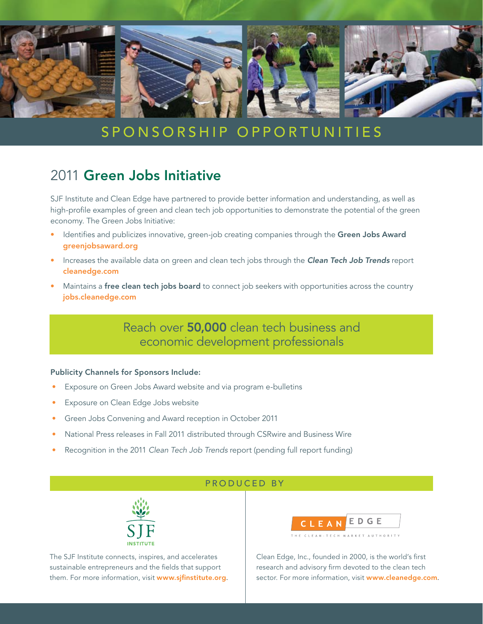

# S P O N S O R S H I P O P P O R T U N I T I E S

## 2011 Green Jobs Initiative

SJF Institute and Clean Edge have partnered to provide better information and understanding, as well as high-profile examples of green and clean tech job opportunities to demonstrate the potential of the green economy. The Green Jobs Initiative:

- Identifies and publicizes innovative, green-job creating companies through the Green Jobs Award greenjobsaward.org
- Increases the available data on green and clean tech jobs through the **Clean Tech Job Trends** report cleanedge.com
- Maintains a free clean tech jobs board to connect job seekers with opportunities across the country jobs.cleanedge.com

Reach over 50,000 clean tech business and economic development professionals

#### Publicity Channels for Sponsors Include:

- Exposure on Green Jobs Award website and via program e-bulletins
- Exposure on Clean Edge Jobs website
- Green Jobs Convening and Award reception in October 2011
- National Press releases in Fall 2011 distributed through CSRwire and Business Wire
- Recognition in the 2011 *Clean Tech Job Trends* report (pending full report funding)

#### Produced by



The SJF Institute connects, inspires, and accelerates sustainable entrepreneurs and the fields that support them. For more information, visit www.sjfinstitute.org.



Clean Edge, Inc., founded in 2000, is the world's first research and advisory firm devoted to the clean tech sector. For more information, visit www.cleanedge.com.